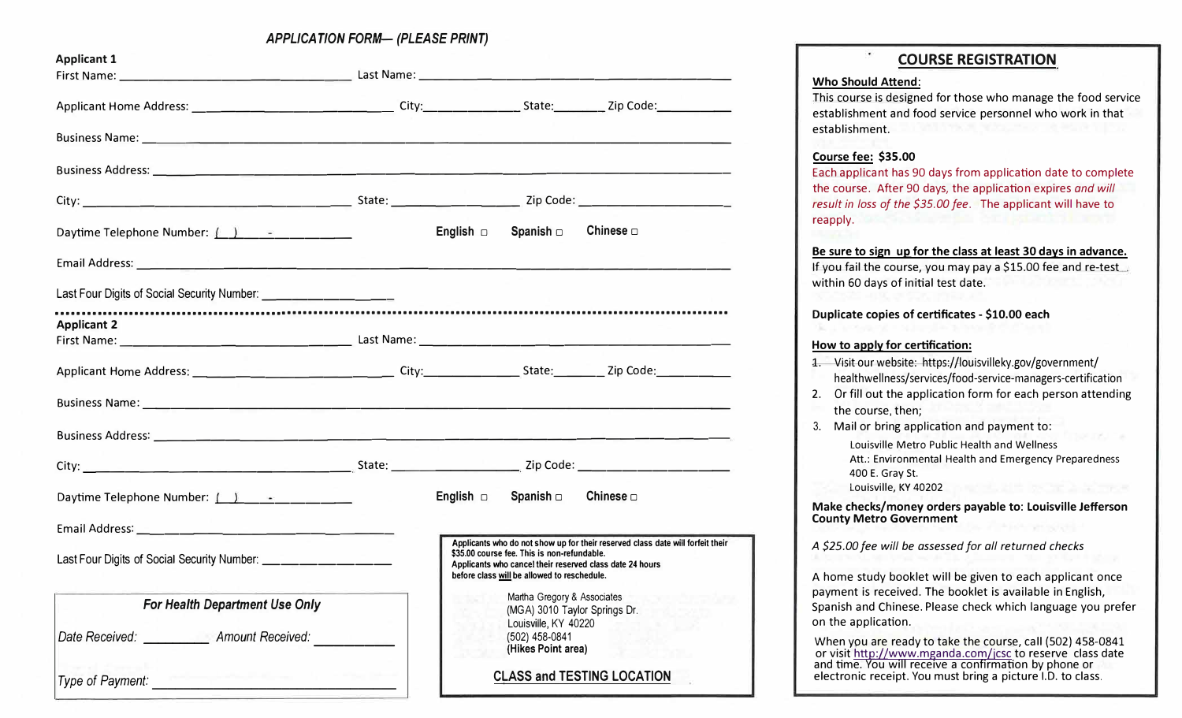*APPLICATION FORM- (PLEASE PRINT)* 

| <b>Applicant 1</b>                                                   |                                   |                                                                                            |                                                                                                                                            |
|----------------------------------------------------------------------|-----------------------------------|--------------------------------------------------------------------------------------------|--------------------------------------------------------------------------------------------------------------------------------------------|
|                                                                      |                                   |                                                                                            |                                                                                                                                            |
|                                                                      |                                   |                                                                                            |                                                                                                                                            |
|                                                                      |                                   |                                                                                            |                                                                                                                                            |
|                                                                      |                                   |                                                                                            |                                                                                                                                            |
|                                                                      |                                   |                                                                                            |                                                                                                                                            |
| Daytime Telephone Number: $\boxed{\phantom{2}1\phantom{1}}$          |                                   | English $\Box$ Spanish $\Box$                                                              | Chinese $\Box$                                                                                                                             |
|                                                                      |                                   |                                                                                            |                                                                                                                                            |
| Last Four Digits of Social Security Number: ________________________ |                                   |                                                                                            |                                                                                                                                            |
| <b>Applicant 2</b>                                                   |                                   |                                                                                            |                                                                                                                                            |
|                                                                      |                                   |                                                                                            |                                                                                                                                            |
|                                                                      |                                   |                                                                                            |                                                                                                                                            |
|                                                                      |                                   |                                                                                            |                                                                                                                                            |
|                                                                      |                                   |                                                                                            |                                                                                                                                            |
|                                                                      |                                   | English $\Box$ Spanish $\Box$                                                              | Chinese $\Box$                                                                                                                             |
|                                                                      |                                   |                                                                                            |                                                                                                                                            |
| Last Four Digits of Social Security Number: __________________       |                                   | \$35.00 course fee. This is non-refundable.<br>before class will be allowed to reschedule. | Applicants who do not show up for their reserved class date will forfeit their<br>Applicants who cancel their reserved class date 24 hours |
| For Health Department Use Only                                       |                                   | Martha Gregory & Associates<br>(MGA) 3010 Taylor Springs Dr.                               |                                                                                                                                            |
| Date Received:<br><b>Amount Received:</b>                            |                                   | Louisville, KY 40220<br>(502) 458-0841<br>(Hikes Point area)                               |                                                                                                                                            |
| Type of Payment:                                                     | <b>CLASS and TESTING LOCATION</b> |                                                                                            |                                                                                                                                            |

# **COURSE REGISTRATION**

#### **Who Should Attend:**

This course is designed for those who manage the food service establishment and food service personnel who work in that establishment.

## **Course fee: \$35.00**

Each applicant has 90 days from application date to complete the course. After 90 days, the application expires *and will result in loss of the \$35.00 fee.* The applicant will have to reapply.

#### **Be sure to sign up for the class at least 30 days in advance.**

If you fail the course, you may pay a \$15.00 fee and re-test within 60 days of initial test date.

# **Duplicate copies of certificates - \$10.00 each**

### **How to apply for certification:**

- 1. Visit our website: https://louisvilleky.gov/government/ healthwellness/services/food-service-managers-certification
- 2. Or fill out the application form for each person attending the course, then;
- 3. Mail or bring application and payment to:

Louisville Metro Public Health and Wellness Att.: Environmental Health and Emergency Preparedness 400 E. Gray St.

Louisville, KY 40202

**Make checks/money orders payable to: Louisville Jefferson County Metro Government** 

*A \$25.00 fee will be assessed for all returned checks* 

A home study booklet will be given to each applicant once payment is received. The booklet is available in English, Spanish and Chinese. Please check which language you prefer on the application.

When you are ready to take the course, call (502) 458-0841 or visit http://www.mganda.com/jcsc to reserve class date and time. You will receive a confirmation by phone or electronic receipt. You must bring a picture I.D. to class.